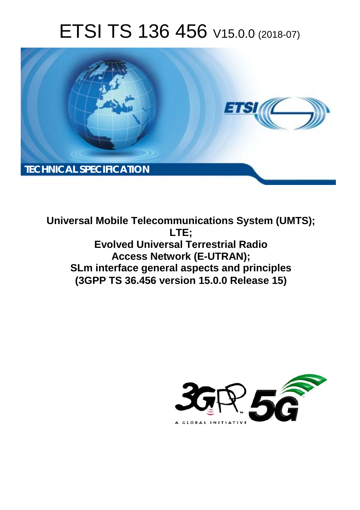# ETSI TS 136 456 V15.0.0 (2018-07)



**Universal Mobile Telecommunications System (UMTS); LTE; Evolved Universal Terrestrial Radio Access Network (E-UTRAN); SLm interface general aspects and principles (3GPP TS 36.456 version 15.0.0 Release 15)** 

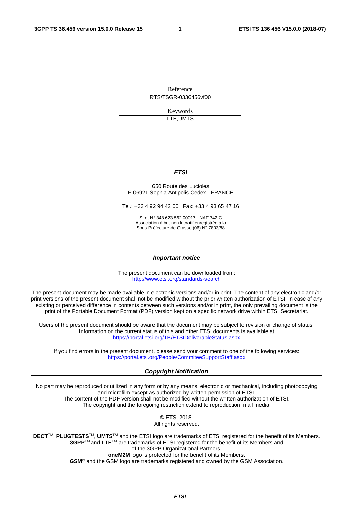Reference RTS/TSGR-0336456vf00

> Keywords LTE,UMTS

#### *ETSI*

#### 650 Route des Lucioles F-06921 Sophia Antipolis Cedex - FRANCE

Tel.: +33 4 92 94 42 00 Fax: +33 4 93 65 47 16

Siret N° 348 623 562 00017 - NAF 742 C Association à but non lucratif enregistrée à la Sous-Préfecture de Grasse (06) N° 7803/88

#### *Important notice*

The present document can be downloaded from: <http://www.etsi.org/standards-search>

The present document may be made available in electronic versions and/or in print. The content of any electronic and/or print versions of the present document shall not be modified without the prior written authorization of ETSI. In case of any existing or perceived difference in contents between such versions and/or in print, the only prevailing document is the print of the Portable Document Format (PDF) version kept on a specific network drive within ETSI Secretariat.

Users of the present document should be aware that the document may be subject to revision or change of status. Information on the current status of this and other ETSI documents is available at <https://portal.etsi.org/TB/ETSIDeliverableStatus.aspx>

If you find errors in the present document, please send your comment to one of the following services: <https://portal.etsi.org/People/CommiteeSupportStaff.aspx>

#### *Copyright Notification*

No part may be reproduced or utilized in any form or by any means, electronic or mechanical, including photocopying and microfilm except as authorized by written permission of ETSI. The content of the PDF version shall not be modified without the written authorization of ETSI. The copyright and the foregoing restriction extend to reproduction in all media.

> © ETSI 2018. All rights reserved.

**DECT**TM, **PLUGTESTS**TM, **UMTS**TM and the ETSI logo are trademarks of ETSI registered for the benefit of its Members. **3GPP**TM and **LTE**TM are trademarks of ETSI registered for the benefit of its Members and of the 3GPP Organizational Partners. **oneM2M** logo is protected for the benefit of its Members.

**GSM**® and the GSM logo are trademarks registered and owned by the GSM Association.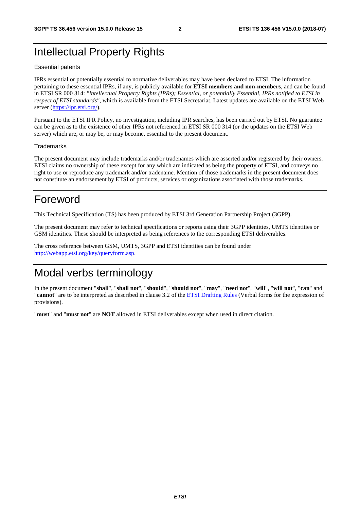### Intellectual Property Rights

#### Essential patents

IPRs essential or potentially essential to normative deliverables may have been declared to ETSI. The information pertaining to these essential IPRs, if any, is publicly available for **ETSI members and non-members**, and can be found in ETSI SR 000 314: *"Intellectual Property Rights (IPRs); Essential, or potentially Essential, IPRs notified to ETSI in respect of ETSI standards"*, which is available from the ETSI Secretariat. Latest updates are available on the ETSI Web server ([https://ipr.etsi.org/\)](https://ipr.etsi.org/).

Pursuant to the ETSI IPR Policy, no investigation, including IPR searches, has been carried out by ETSI. No guarantee can be given as to the existence of other IPRs not referenced in ETSI SR 000 314 (or the updates on the ETSI Web server) which are, or may be, or may become, essential to the present document.

#### **Trademarks**

The present document may include trademarks and/or tradenames which are asserted and/or registered by their owners. ETSI claims no ownership of these except for any which are indicated as being the property of ETSI, and conveys no right to use or reproduce any trademark and/or tradename. Mention of those trademarks in the present document does not constitute an endorsement by ETSI of products, services or organizations associated with those trademarks.

### Foreword

This Technical Specification (TS) has been produced by ETSI 3rd Generation Partnership Project (3GPP).

The present document may refer to technical specifications or reports using their 3GPP identities, UMTS identities or GSM identities. These should be interpreted as being references to the corresponding ETSI deliverables.

The cross reference between GSM, UMTS, 3GPP and ETSI identities can be found under [http://webapp.etsi.org/key/queryform.asp.](http://webapp.etsi.org/key/queryform.asp)

### Modal verbs terminology

In the present document "**shall**", "**shall not**", "**should**", "**should not**", "**may**", "**need not**", "**will**", "**will not**", "**can**" and "**cannot**" are to be interpreted as described in clause 3.2 of the [ETSI Drafting Rules](https://portal.etsi.org/Services/editHelp!/Howtostart/ETSIDraftingRules.aspx) (Verbal forms for the expression of provisions).

"**must**" and "**must not**" are **NOT** allowed in ETSI deliverables except when used in direct citation.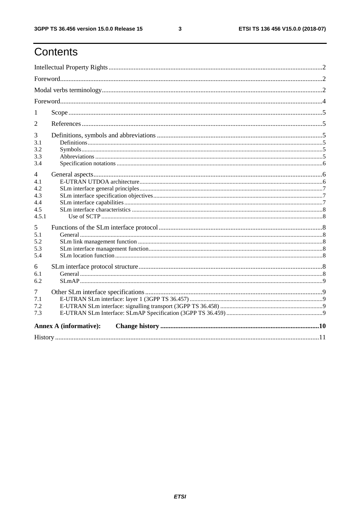$\mathbf{3}$ 

## Contents

| -1                                  |                               |  |
|-------------------------------------|-------------------------------|--|
| $\overline{2}$                      |                               |  |
| 3<br>3.1<br>3.2<br>3.3              |                               |  |
| 3.4<br>4<br>4.1<br>4.2              |                               |  |
| 4.3<br>4.4<br>4.5<br>4.5.1          |                               |  |
| 5<br>5.1<br>5.2<br>5.3<br>5.4       |                               |  |
| 6<br>6.1<br>6.2                     |                               |  |
| $\overline{7}$<br>7.1<br>7.2<br>7.3 |                               |  |
|                                     | <b>Annex A (informative):</b> |  |
| History                             | $\sim$ 11                     |  |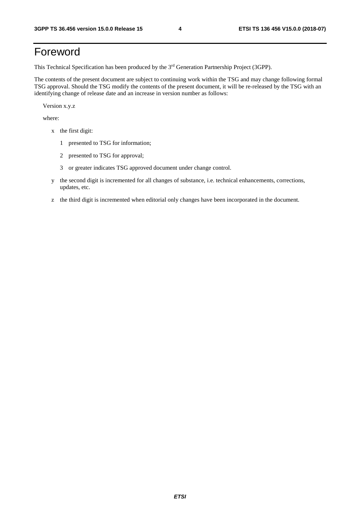## Foreword

This Technical Specification has been produced by the 3rd Generation Partnership Project (3GPP).

The contents of the present document are subject to continuing work within the TSG and may change following formal TSG approval. Should the TSG modify the contents of the present document, it will be re-released by the TSG with an identifying change of release date and an increase in version number as follows:

Version x.y.z

where:

- x the first digit:
	- 1 presented to TSG for information;
	- 2 presented to TSG for approval;
	- 3 or greater indicates TSG approved document under change control.
- y the second digit is incremented for all changes of substance, i.e. technical enhancements, corrections, updates, etc.
- z the third digit is incremented when editorial only changes have been incorporated in the document.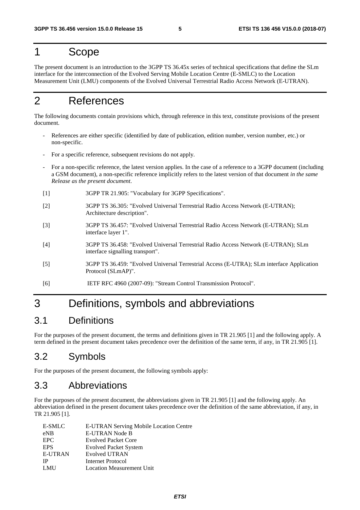### 1 Scope

The present document is an introduction to the 3GPP TS 36.45x series of technical specifications that define the SLm interface for the interconnection of the Evolved Serving Mobile Location Centre (E-SMLC) to the Location Measurement Unit (LMU) components of the Evolved Universal Terrestrial Radio Access Network (E-UTRAN).

## 2 References

The following documents contain provisions which, through reference in this text, constitute provisions of the present document.

- References are either specific (identified by date of publication, edition number, version number, etc.) or non-specific.
- For a specific reference, subsequent revisions do not apply.
- For a non-specific reference, the latest version applies. In the case of a reference to a 3GPP document (including a GSM document), a non-specific reference implicitly refers to the latest version of that document *in the same Release as the present document*.
- [1] 3GPP TR 21.905: "Vocabulary for 3GPP Specifications".
- [2] 3GPP TS 36.305: "Evolved Universal Terrestrial Radio Access Network (E-UTRAN); Architecture description".
- [3] 3GPP TS 36.457: "Evolved Universal Terrestrial Radio Access Network (E-UTRAN); SLm interface layer 1".
- [4] 3GPP TS 36.458: "Evolved Universal Terrestrial Radio Access Network (E-UTRAN); SLm interface signalling transport".
- [5] 3GPP TS 36.459: "Evolved Universal Terrestrial Access (E-UTRA); SLm interface Application Protocol (SLmAP)".
- [6] IETF RFC 4960 (2007-09): "Stream Control Transmission Protocol".

## 3 Definitions, symbols and abbreviations

#### 3.1 Definitions

For the purposes of the present document, the terms and definitions given in TR 21.905 [1] and the following apply. A term defined in the present document takes precedence over the definition of the same term, if any, in TR 21.905 [1].

#### 3.2 Symbols

For the purposes of the present document, the following symbols apply:

#### 3.3 Abbreviations

For the purposes of the present document, the abbreviations given in TR 21.905 [1] and the following apply. An abbreviation defined in the present document takes precedence over the definition of the same abbreviation, if any, in TR 21.905 [1].

| E-SMLC         | E-UTRAN Serving Mobile Location Centre |
|----------------|----------------------------------------|
| eNB            | E-UTRAN Node B                         |
| EPC.           | <b>Evolved Packet Core</b>             |
| <b>EPS</b>     | <b>Evolved Packet System</b>           |
| <b>E-UTRAN</b> | Evolved UTRAN                          |
| IP             | Internet Protocol                      |
| LMU            | <b>Location Measurement Unit</b>       |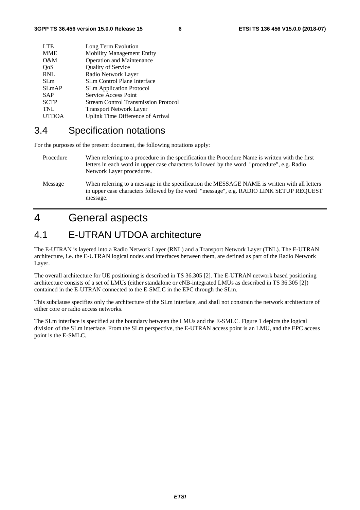| <b>LTE</b>      | Long Term Evolution                         |
|-----------------|---------------------------------------------|
| <b>MME</b>      | <b>Mobility Management Entity</b>           |
| O&M             | <b>Operation and Maintenance</b>            |
| QoS             | <b>Quality of Service</b>                   |
| <b>RNL</b>      | Radio Network Layer                         |
| SL <sub>m</sub> | <b>SLm Control Plane Interface</b>          |
| <b>SLmAP</b>    | <b>SLm Application Protocol</b>             |
| <b>SAP</b>      | Service Access Point                        |
| <b>SCTP</b>     | <b>Stream Control Transmission Protocol</b> |
| <b>TNL</b>      | <b>Transport Network Layer</b>              |
| <b>UTDOA</b>    | Uplink Time Difference of Arrival           |
|                 |                                             |

### 3.4 Specification notations

For the purposes of the present document, the following notations apply:

- Procedure When referring to a procedure in the specification the Procedure Name is written with the first letters in each word in upper case characters followed by the word "procedure", e.g. Radio Network Layer procedures.
- Message When referring to a message in the specification the MESSAGE NAME is written with all letters in upper case characters followed by the word "message", e.g. RADIO LINK SETUP REQUEST message.

### 4 General aspects

### 4.1 E-UTRAN UTDOA architecture

The E-UTRAN is layered into a Radio Network Layer (RNL) and a Transport Network Layer (TNL). The E-UTRAN architecture, i.e. the E-UTRAN logical nodes and interfaces between them, are defined as part of the Radio Network Layer.

The overall architecture for UE positioning is described in TS 36.305 [2]. The E-UTRAN network based positioning architecture consists of a set of LMUs (either standalone or eNB-integrated LMUs as described in TS 36.305 [2]) contained in the E-UTRAN connected to the E-SMLC in the EPC through the SLm.

This subclause specifies only the architecture of the SLm interface, and shall not constrain the network architecture of either core or radio access networks.

The SLm interface is specified at the boundary between the LMUs and the E-SMLC. Figure 1 depicts the logical division of the SLm interface. From the SLm perspective, the E-UTRAN access point is an LMU, and the EPC access point is the E-SMLC.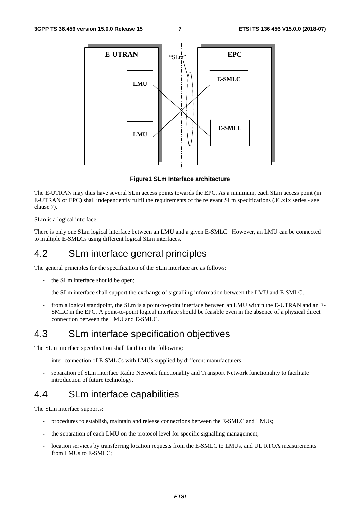

#### **Figure1 SLm Interface architecture**

The E-UTRAN may thus have several SLm access points towards the EPC. As a minimum, each SLm access point (in E-UTRAN or EPC) shall independently fulfil the requirements of the relevant SLm specifications (36.x1x series - see clause 7).

SLm is a logical interface.

There is only one SLm logical interface between an LMU and a given E-SMLC. However, an LMU can be connected to multiple E-SMLCs using different logical SLm interfaces.

#### 4.2 SLm interface general principles

The general principles for the specification of the SLm interface are as follows:

- the SLm interface should be open;
- the SLm interface shall support the exchange of signalling information between the LMU and E-SMLC;
- from a logical standpoint, the SLm is a point-to-point interface between an LMU within the E-UTRAN and an E-SMLC in the EPC. A point-to-point logical interface should be feasible even in the absence of a physical direct connection between the LMU and E-SMLC.

#### 4.3 SLm interface specification objectives

The SLm interface specification shall facilitate the following:

- inter-connection of E-SMLCs with LMUs supplied by different manufacturers;
- separation of SLm interface Radio Network functionality and Transport Network functionality to facilitate introduction of future technology.

#### 4.4 SLm interface capabilities

The SLm interface supports:

- procedures to establish, maintain and release connections between the E-SMLC and LMUs;
- the separation of each LMU on the protocol level for specific signalling management;
- location services by transferring location requests from the E-SMLC to LMUs, and UL RTOA measurements from LMUs to E-SMLC;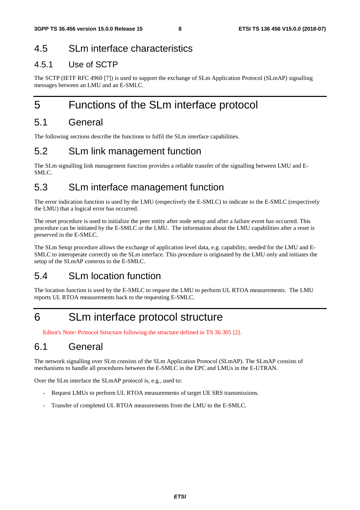### 4.5 SLm interface characteristics

#### 4.5.1 Use of SCTP

The SCTP (IETF RFC 4960 [7]) is used to support the exchange of SLm Application Protocol (SLmAP) signalling messages between an LMU and an E-SMLC.

## 5 Functions of the SLm interface protocol

#### 5.1 General

The following sections describe the functions to fulfil the SLm interface capabilities.

### 5.2 SLm link management function

The SLm signalling link management function provides a reliable transfer of the signalling between LMU and E-SMLC.

#### 5.3 SLm interface management function

The error indication function is used by the LMU (respectively the E-SMLC) to indicate to the E-SMLC (respectively the LMU) that a logical error has occurred.

The reset procedure is used to initialize the peer entity after node setup and after a failure event has occurred. This procedure can be initiated by the E-SMLC or the LMU. The information about the LMU capabilities after a reset is preserved in the E-SMLC.

The SLm Setup procedure allows the exchange of application level data, e.g. capability, needed for the LMU and E-SMLC to interoperate correctly on the SLm interface. This procedure is originated by the LMU only and initiates the setup of the SLmAP contexts to the E-SMLC.

### 5.4 SLm location function

The location function is used by the E-SMLC to request the LMU to perform UL RTOA measurements. The LMU reports UL RTOA measurements back to the requesting E-SMLC.

## 6 SLm interface protocol structure

Editor's Note: Protocol Structure following the structure defined in TS 36.305 [2].

#### 6.1 General

The network signalling over SLm consists of the SLm Application Protocol (SLmAP). The SLmAP consists of mechanisms to handle all procedures between the E-SMLC in the EPC and LMUs in the E-UTRAN.

Over the SLm interface the SLmAP protocol is, e.g., used to:

- Request LMUs to perform UL RTOA measurements of target UE SRS transmissions.
- Transfer of completed UL RTOA measurements from the LMU to the E-SMLC.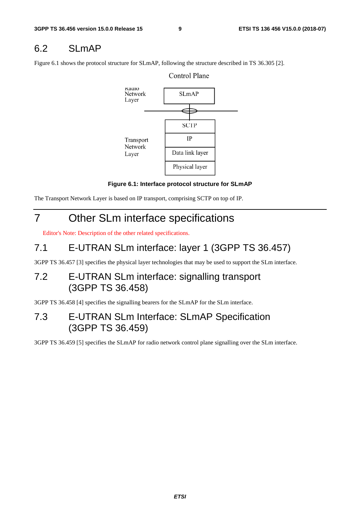### 6.2 SLmAP

Figure 6.1 shows the protocol structure for SLmAP, following the structure described in TS 36.305 [2].



#### **Figure 6.1: Interface protocol structure for SLmAP**

The Transport Network Layer is based on IP transport, comprising SCTP on top of IP.

## 7 Other SLm interface specifications

Editor's Note: Description of the other related specifications.

### 7.1 E-UTRAN SLm interface: layer 1 (3GPP TS 36.457)

3GPP TS 36.457 [3] specifies the physical layer technologies that may be used to support the SLm interface.

### 7.2 E-UTRAN SLm interface: signalling transport (3GPP TS 36.458)

3GPP TS 36.458 [4] specifies the signalling bearers for the SLmAP for the SLm interface.

### 7.3 E-UTRAN SLm Interface: SLmAP Specification (3GPP TS 36.459)

3GPP TS 36.459 [5] specifies the SLmAP for radio network control plane signalling over the SLm interface.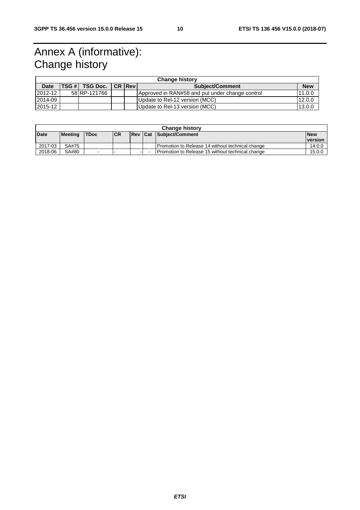## Annex A (informative): Change history

| <b>Change history</b>                                                             |                                |              |        |  |                                                 |        |
|-----------------------------------------------------------------------------------|--------------------------------|--------------|--------|--|-------------------------------------------------|--------|
| <b>ITSG # TSG Doc.</b><br><b>Date</b><br><b>CR Revi</b><br><b>Subject/Comment</b> |                                | <b>New</b>   |        |  |                                                 |        |
| 2012-12                                                                           |                                | 58 RP-121766 |        |  | Approved in RAN#58 and put under change control | 11.0.0 |
| 2014-09                                                                           |                                |              |        |  | Update to Rel-12 version (MCC)                  | 12.0.0 |
| 2015-12                                                                           | Update to Rel-13 version (MCC) |              | 13.0.0 |  |                                                 |        |

| <b>Change history</b> |                |             |            |  |  |                                                  |            |
|-----------------------|----------------|-------------|------------|--|--|--------------------------------------------------|------------|
| <b>Date</b>           | <b>Meeting</b> | <b>TDoc</b> | <b>ICR</b> |  |  | <b>Rev Cat Subject/Comment</b>                   | <b>New</b> |
|                       |                |             |            |  |  |                                                  | version    |
| 2017-03               | SA#75          |             |            |  |  | Promotion to Release 14 without technical change | 14.0.0     |
| 2018-06               | SA#80          |             |            |  |  | Promotion to Release 15 without technical change | 15.0.0     |